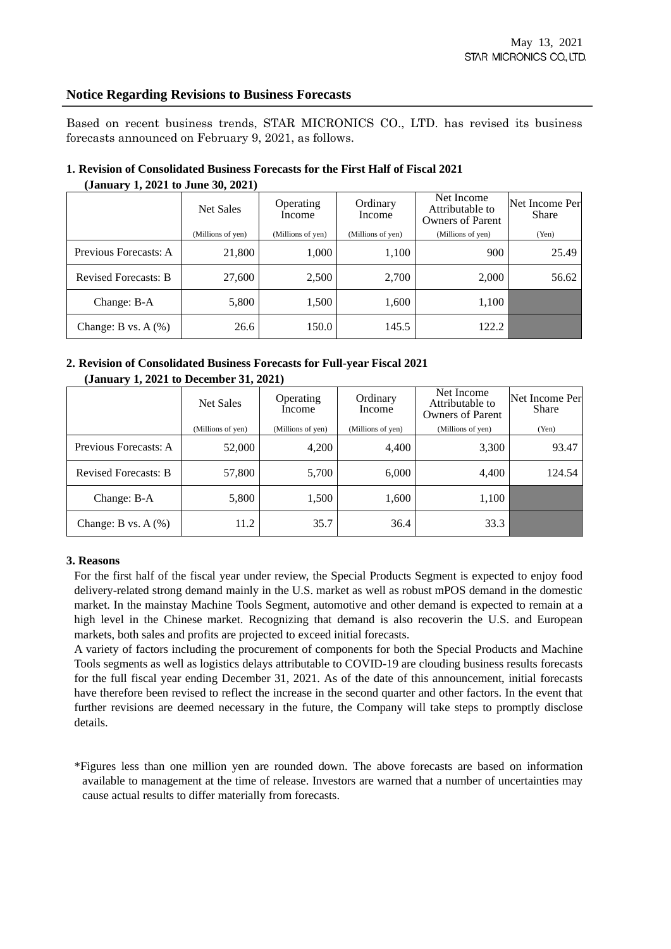## **Notice Regarding Revisions to Business Forecasts**

Based on recent business trends, STAR MICRONICS CO., LTD. has revised its business forecasts announced on February 9, 2021, as follows.

## **1. Revision of Consolidated Business Forecasts for the First Half of Fiscal 2021 (January 1, 2021 to June 30, 2021)**

|                             | Net Sales         | Operating<br>Income | Ordinary<br>Income | Net Income<br>Attributable to<br>Owners of Parent | Net Income Per<br><b>Share</b> |
|-----------------------------|-------------------|---------------------|--------------------|---------------------------------------------------|--------------------------------|
|                             | (Millions of yen) | (Millions of yen)   | (Millions of yen)  | (Millions of yen)                                 | (Yen)                          |
| Previous Forecasts: A       | 21,800            | 1,000               | 1,100              | 900                                               | 25.49                          |
| <b>Revised Forecasts: B</b> | 27,600            | 2,500               | 2,700              | 2,000                                             | 56.62                          |
| Change: B-A                 | 5,800             | 1,500               | 1,600              | 1,100                                             |                                |
| Change: B vs. $A$ $(\%)$    | 26.6              | 150.0               | 145.5              | 122.2                                             |                                |

## **2. Revision of Consolidated Business Forecasts for Full-year Fiscal 2021 (January 1, 2021 to December 31, 2021)**

|                             | Net Sales         | Operating<br>Income | Ordinary<br>Income | Net Income<br>Attributable to<br><b>Owners of Parent</b> | Net Income Per<br>Share |
|-----------------------------|-------------------|---------------------|--------------------|----------------------------------------------------------|-------------------------|
|                             | (Millions of yen) | (Millions of yen)   | (Millions of yen)  | (Millions of yen)                                        | (Yen)                   |
| Previous Forecasts: A       | 52,000            | 4,200               | 4,400              | 3,300                                                    | 93.47                   |
| <b>Revised Forecasts: B</b> | 57,800            | 5,700               | 6,000              | 4,400                                                    | 124.54                  |
| Change: B-A                 | 5,800             | 1,500               | 1,600              | 1,100                                                    |                         |
| Change: B vs. $A(\%)$       | 11.2              | 35.7                | 36.4               | 33.3                                                     |                         |

## **3. Reasons**

For the first half of the fiscal year under review, the Special Products Segment is expected to enjoy food delivery-related strong demand mainly in the U.S. market as well as robust mPOS demand in the domestic market. In the mainstay Machine Tools Segment, automotive and other demand is expected to remain at a high level in the Chinese market. Recognizing that demand is also recoverin the U.S. and European markets, both sales and profits are projected to exceed initial forecasts.

A variety of factors including the procurement of components for both the Special Products and Machine Tools segments as well as logistics delays attributable to COVID-19 are clouding business results forecasts for the full fiscal year ending December 31, 2021. As of the date of this announcement, initial forecasts have therefore been revised to reflect the increase in the second quarter and other factors. In the event that further revisions are deemed necessary in the future, the Company will take steps to promptly disclose details.

\*Figures less than one million yen are rounded down. The above forecasts are based on information available to management at the time of release. Investors are warned that a number of uncertainties may cause actual results to differ materially from forecasts.